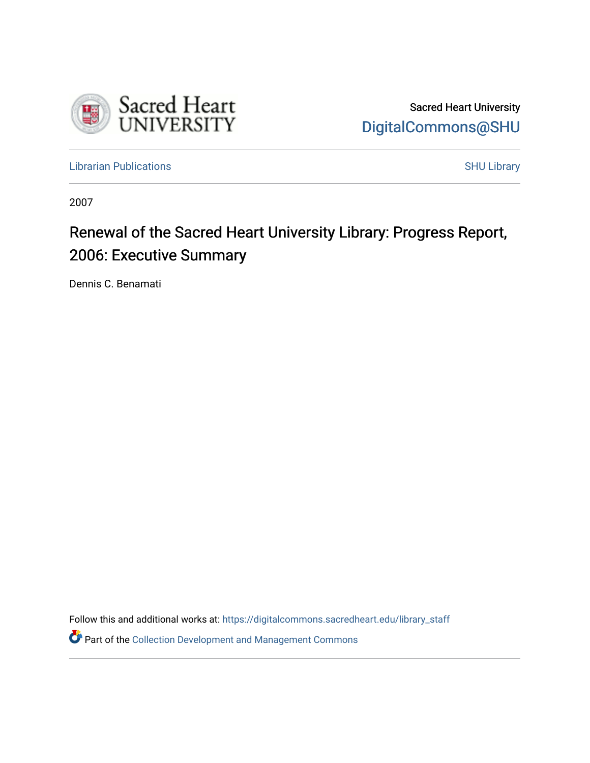

Sacred Heart University [DigitalCommons@SHU](https://digitalcommons.sacredheart.edu/) 

[Librarian Publications](https://digitalcommons.sacredheart.edu/library_staff) **SHU** Library

2007

# Renewal of the Sacred Heart University Library: Progress Report, 2006: Executive Summary

Dennis C. Benamati

Follow this and additional works at: [https://digitalcommons.sacredheart.edu/library\\_staff](https://digitalcommons.sacredheart.edu/library_staff?utm_source=digitalcommons.sacredheart.edu%2Flibrary_staff%2F60&utm_medium=PDF&utm_campaign=PDFCoverPages) 

**P** Part of the Collection Development and Management Commons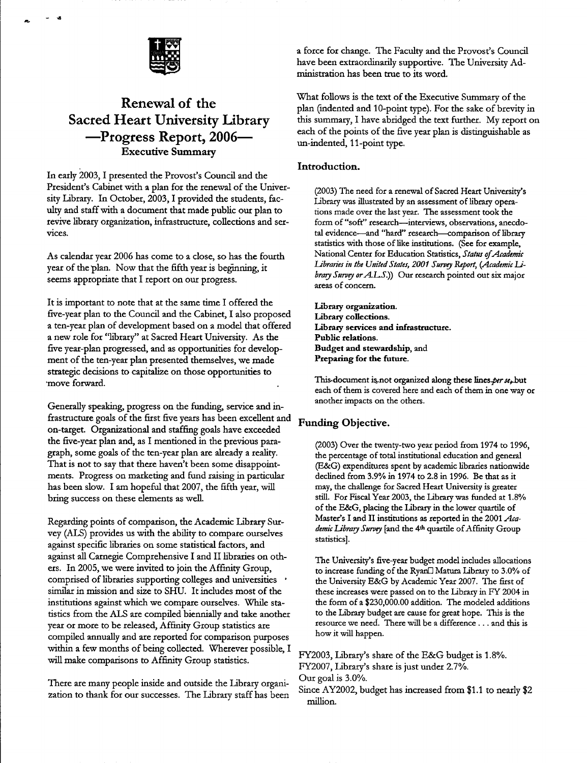

## **Renewal of the Sacred Heart University library —^Progress Report, 2006— Executive Summary**

In early 2003, I presented the Provost's Council and the President's Cabinet with a plan for the renewal of the University Library. In October, 2003, I provided the students, faculty and staff with a document that made public our plan to revive library organixation, infrastmcture, collections and services.

As calendar year 2006 has come to a close, so has the fourth year of the plan. Now that the fifth year is beginning, it seems appropriate that I report on our progress.

It is important to note that at the same time I offered the five-year plan to the Council and the Cabinet, I also proposed a ten-year plan of development based on a model that offered a new role for "library" at Sacred Heart University. As the five year-plan progressed, and as opportunities for development of the ten-year plan presented themselves, we made strategic decisions to capitali2e on those opportunities to move forward.

Generally speaking, progress on the funding, service and infrastructure goals of the first five years has been excellent and on-target. Organizational and staffing goals have exceeded the five-year plan and, as I mentioned in the previous paragraph, some goals of the ten-year plan are already a reality. That is not to say that there haven't been some disappointments. Progress on marketing and fund raising in particular has been slow. I am hopeful that 2007, the fifth year, will bring success on these elements as well.

Regarding points of comparison, the Academic Library Survey (ALS) provides us with the ability to compare ourselves against specific libraries on some statistical factors, and against all Carnegie Comprehensive I and II libraries on others. In 2005, we were invited to join the Affinity Group, comprised of libraries supporting colleges and universities similar in mission and size to SHU. It includes most of the instimtions against which we compare ourselves. While statistics from the ALS are compiled biennially and take another year or more to be released. Affinity Group statistics are compiled annually and are reported for comparison purposes within a few months of being collected. Wherever possible, I will make comparisons to Affinity Group statistics.

There are many people inside and outside the Library organization to thank for our successes. The Library staff has been a force for change. The Faculty and the Provost's Council have been extraordinarily supportive. The University Administration has been true to its word.

What follows is the text of the Executive Summary of the plan (indented and 10-point type). For the sake of brevity in this summary, I have abridged the text further. My report on each of the points of the five year plan is distinguishable as un-indented, 11-point type.

#### **Introduction.**

(2003) The need for a renewal of Sacred Heart University's Library was illustrated by an assessment of library operations made over the last year. The assessment took the form of "soft" research---interviews, observations, anecdotal evidence—and "hard" research—comparison of library statistics with those of like institutions. (See for example, National Center for Education Statistics, Status of Academic Libraries in the United States, 2001 Survey Report, (Academic Li*brary Survey* or *A.L.S.*)) Our research pointed out six major areas of concern.

Library organization. Library collections. Library services and infrastructure. Public relations. Budget and stewardship, and Preparing for the future.

This-document is not organized along these lines per se, but each of them is covered here and each of them in one way or another impacts on the others.

### **Funding Objective.**

(2003) Over the twenty-two year period from 1974 to 1996, the percentage of total institutional education and general (E&G) expenditures spent by academic libraries nationwide declined from 3.9% in 1974 to 2.8 in 1996. Be that as it may, the challenge for Sacred Heart University is greater still. For Fiscal Year 2003, the Library was funded at 1.8% of the E&G, placing the Library in the lower quartile of Master's I and II institutions as reported in the 2001 *Academic Library Survey* [and the 4<sup>th</sup> quartile of Affinity Group statistics].

The University's five-year budget model includes allocations to increase funding of the Ryan<sup>n</sup> Matura Library to 3.0% of the University E&G by Academic Year 2007. The first of these increases were passed on to the Library in FY 2004 in the form of a \$230,000.00 addition. The modeled additions to the Library budget are cause for great hope. This is the resource we need. There will be a difference . .. and this is how it will happen.

FY2003, Library's share of the E&G budget is 1.8%. FY2007, Library's share is just under 2.7%. Our goal is 3.0%.

Since AY2002, budget has increased from \$1.1 to nearly \$2 million.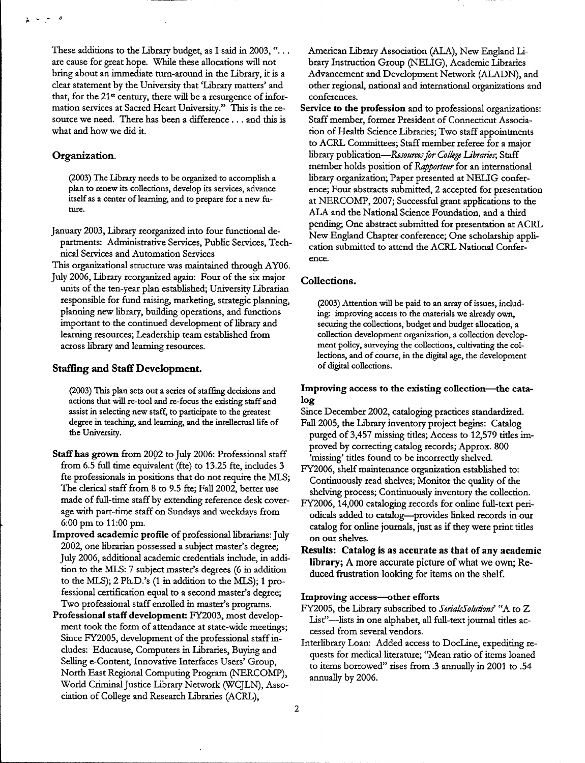These additions to the Library budget, as I said in 2003, " $\dots$ are cause for great hope. While these allocations will not bring about an immediate tum-around in the Library, it is a clear statement by the University that 'Library matters' and that, for the 21<sup>st</sup> century, there will be a resurgence of information services at Sacred Heart University." This is the resource we need. There has been <sup>a</sup> difference ... and this is what and how we did it.

#### **Organization.**

 $\omega_{\rm c}$  ,  $\omega_{\rm c}$ - 3

> (2003) The Library needs to be organized to accomplish a plan to renew its collections, develop its services, advance itself as a center of learning, and to prepare for a new future.

January 2003, Library reorganized into four functional departments: Administrative Services, Public Services, Technical Services and Automation Services

This organizational structure was maintained through AY06. July 2006, Library reorganized again: Four of the six major units of the ten-year plan established; University Librarian responsible for fund raising, marketing, strategic planning, planning new library, building operations, and functions important to the continued development of library and

learning resources; Leadership team established from across library and learning resources.

#### **Staffing and StaffDevelopment.**

(2003) This plan sets out a series of staffing decisions and actions that will re-tool and re-focus the existing staffand assist in selecting new staff, to participate to the greatest degree in teaching, and learning, and the intellectual life of the University.

- Staffhas grown from 2002 to July 2006: Professional staff from 6.5 full time equivalent (fte) to 13.25 fte, includes 3 fte professionals in positions that do not require the MLS; The clerical staff from 8 to 9.5 fte; Fall 2002, better use made of full-time staff by extending reference desk coverage with part-time staff on Sundays and weekdays from 6:00 pm to 11:00 pm.
- Improved academic profile of professional librarians: July 2002, one librarian possessed a subject master's degree; July 2006, additional academic credentials include, in addition to the MLS: 7 subject master's degrees (6 in addition to the MLS); 2 Ph.D.'s (1 in addition to the MLS); <sup>1</sup> professional certification equal to a second master's degree; Two professional staff enrolled in master's programs.
- Professional staff development: FY2003, most development took the form of attendance at state-wide meetings; Since FY2005, development of the professional staff includes: Educause, Computers in Libraries, Buying and Selling e-Content, Innovative Interfaces Users' Group, North East Regional Computing Program (NERCOMP), World Criminal Justice Library Network (WCJLN), Association of College and Research Libraries (ACRL),

American Library Association (ALA), New England Library Instruction Group (NELIG), Academic Libraries Advancement and Development Network (ALADN), and other regional, national and international organizations and conferences.

Service to the profession and to professional organizations: Staff member, former President of Connecticut Association of Health Science Libraries; Two staff appointments to ACRL Committees; Staff member referee for a major library publication*—ResourvesforCollege Libraries;* Staff member holds position of *Rapporteur* for an international library organization; Paper presented at NELIG conference; Four abstracts submitted, 2 accepted for presentation at NERCOMP, 2007; Successful grant applications to the ALA and the National Science Foundation, and a third pending; One abstract submitted for presentation at ACRL New England Chapter conference; One scholarship application submitted to attend the ACRL National Conference.

#### **Collections.**

(2003) Attention will be paid to an array of issues, including: improving access to the materials we already own, securing the collections, budget and budget allocation, a collection development organization, a collection development policy, surveying the collections, cultivating the collections, and of course, in the digital age, the development of digital collections.

#### Improving access to the existing collection—^the catalog

- Since December 2002, cataloging practices standardized.
- Fall 2005, the Library inventory project begins: Catalog purged of 3,457 missing titles; Access to 12,579 titles improved by correcting catalog records; Approx. 800 'missing' titles found to be incorrectly shelved.
- FY2006, shelf maintenance organization established to: Continuously read shelves; Monitor the quality of the shelving process; Continuously inventory the collection.
- FY2006,14,000 cataloging records for online full-text periodicals added to catalog—provides linked records in our catalog for online journals, just as if they were print titles on our shelves.
- **Results: Catalog is as accurate as that of any academic library; A more accurate picture ofwhat we own; Reduced frustration looking for items on the shelf.**

#### Improving access—other efforts

- FY2005, the Library subscribed to *SerialsSolutionf* "A to Z List"-lists in one alphabet, all full-text journal titles accessed from several vendors.
- Interlibrary Loan: Added access to DocLine, expediting requests for medical literature; "Mean ratio of items loaned to items borrowed" rises from .3 annually in 2001 to .54 annually by 2006.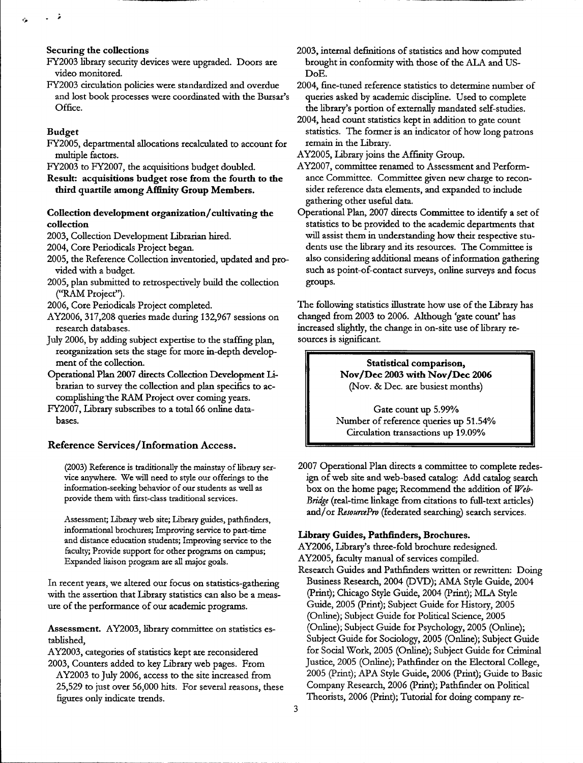#### **Securing the collections**

- FY2003 library security devices were upgraded. Doors are video monitored.
- FY2003 circulation policies were standardized and overdue and lost book processes were coordinated with the Bursar's Office.

#### **Budget**

 $\sim$   $\lambda$ 

- FY2005, departmental allocations recalculated to account for multiple factors.
- FY2003 to FY2007, the acquisitions budget doubled.
- **Result: acquisitions budget rose from the fourth to the third quartile among Affinity Group Members.**

#### **Collection development organization/cultivating the collection**

- 2003, Collection Development Librarian hired.
- 2004, Core Periodicals Project began.
- 2005, the Reference Collection inventoried, updated and provided with a budget
- 2005, plan submitted to retrospectively build the collection ("RAM Project").
- 2006, Core Periodicals Project completed.
- AY2006, 317,208 queries made during 132,967 sessions on research databases.
- July 2006, by adding subject expertise to the staffing plan, reorganization sets the stage for more in-depth development of the collection.
- Operational Plan <sup>2007</sup> directs Collection Development librarian to survey the collection and plan specifics to accomplishing the RAM Project over coming years.
- FY2007, Library subscribes to a total 66 online databases.

#### **Reference Services/Information Access.**

(2003) Reference is traditionally the mainstay of library service anywhere. We will need to style our offerings to the information-seeking behavior of our students as well as provide them with first-class traditional services.

Assessment; Library web site; Library guides, pathfinders, informational brochures; Improving service to part-time and distance education students; Improving service to the faculty; Provide support for other programs on campus; Expanded liaison program are all major goals.

In recent years, we altered our focus on statistics-gathering with the assertion that Library statistics can also be a measure of the performance of our academic programs.

**Assessment.** AY2003, library committee on statistics established,

- AY2003, categories of statistics kept are reconsidered 2003, Counters added to key Library web pages. From
- AY2003 to July 2006, access to the site increased from 25,529 to just over 56,000 hits. For several reasons, these figures only indicate trends.

2003, internal definitions of statistics and how computed brought in conformity with those of the ALA and US-DoE.

2004, fine-tuned reference statistics to determine number of queries asked by academic discipline. Used to complete the library's portion of externally mandated self-studies.

2004, head count statistics kept in addition to gate count statistics. The former is an indicator of how long patrons remain in the Library.

AY2005, Library joins the Affinity Group.

- AY2007, committee renamed to Assessment and Performance Committee. Committee given new charge to reconsider reference data elements, and expanded to include gathering other useful data.
- Operational Plan, 2007 directs Committee to identify a set of statistics to be provided to the academic departments that will assist them in understanding how their respective students use the library and its resources. The Committee is also considering additional means of information gathering such as point-of-contact surveys, online surveys and focus groups.

The following statistics illustrate how use of the Library has changed from 2003 to 2006. Although 'gate count' has increased slightly, the change in on-site use of library resources is significant.

> **Statistical comparison, Nov/Dec 2003 with Nov/Dcc 2006** (Nov. & Dec. are busiest months)

Gate count up 5.99% Number of reference queries up 51.54% Circulation transactions up 19.09%

2007 Operational Plan directs a committee to complete redesign of web site and web-based catalog: Add catalog search box on the home page; Recommend the addition of *Web-Bridge* (real-time linkage from citations to full-text articles) and/or *ResourcePro* (federated searching) search services.

#### **Library Guides, Pathfinders, Brochures.**

AY2006, Library's three-fold brochure redesigned. AY2005, faculty manual of services compiled. Research Guides and Pathfinders written or rewritten: Doing Business Research, 2004 (DVD); AMA Style Guide, 2004 (Print); Chicago Style Guide, 2004 (Print); MLA Style Guide, 2005 (Print); Subject Guide for History, 2005 (Online); Subject Guide for Political Science, 2005 (Online); Subject Guide for Psychology, 2005 (Online); Subject Guide for Sociology, 2005 (Online); Subject Guide for Social Work, 2005 (Online); Subject Guide for Criminal Justice, 2005 (Online); Pathfinder on the Electoral College, 2005 (Print); APA Style Guide, 2006 (Print); Guide to Basic Company Research, 2006 (Print); Pathfinder on Political Theorists, 2006 (Print); Tutorial for doing company re-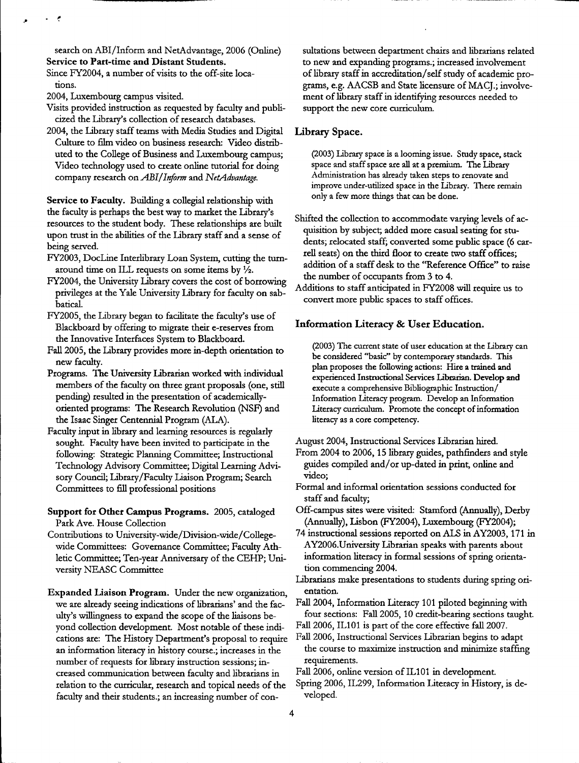search on ABI/Inform and NetAdvantage, 2006 (Online) Service to Part-time and Distant Students.

Since FY2004, a number of visits to the off-site locations.

2004, Luxembourg campus visited.

- Visits provided instruction as requested by faculty and publicized the Library's collection of research databases.
- 2004, the Library staff teams with Media Studies and Digital Culture to film video on business research: Video distributed to the College of Business and Luxembourg campus; Video technology used to create online tutorial for doing company research on *ABIlInform* and *NetAdvantage.*

Service to Faculty. Building a collegial relationship with the faculty is perhaps the best way to market the Library's resources to the student body. These relationships are built upon trust in the abilities of the Library staff and a sense of being served.

- FY2003, DocLine Interlibrary Loan System, cutting the turnaround time on ILL requests on some items by  $\frac{1}{2}$ .
- FY2004, the University Library covers the cost of borrowing privileges at the Yale University Library for faculty on sabbatical.
- FY2005, the Library began to facilitate the faculty's use of Blackboard by offering to migrate their e-reserves from the Innovative Interfaces System to Blackboard.
- Fall 2005, the Library provides more in-depth orientation to new faculty.
- Programs. The University Librarian worked with individual members of the faculty on three grant proposals (one, still pending) resulted in the presentation of academicallyoriented programs: The Research Revolution (NSF) and the Isaac Singer Centennial Program (ALA).
- Faculty input in library and learning resources is regularly sought. Faculty have been invited to participate in the following: Strategic Planning Committee; Instructional Technology Advisory Committee; Digital Learning Advisory Council; Library/Faculty Liaison Program; Search Committees to fill professional positions
- Support for Other Campus Programs. 2005, cataloged Park Ave. House Collection
- Contributions to University-wide/Division-wide/Collegewide Committees: Governance Committee; Faculty Athletic Committee; Ten-year Anniversary of the CEHP; University NEASC Committee

Expanded Liaison Program. Under the new organization, we are already seeing indications of librarians' and the faculty's willingness to expand the scope of the liaisons beyond collection development. Most notable of these indications are: The History Department's proposal to require an information literacy in history course.; increases in the number of requests for library instruction sessions; increased communication between faculty and librarians in relation to the curricular, research and topical needs of the faculty and their students.; an increasing number of consultations between department chairs and librarians related to new and expanding programs.; increased involvement of library staff in accreditation/self study of academic programs, e.g. AACSB and State licensure of MACJ.; involvement of library staff in identifying resources needed to support the new core curriculum.

#### **Library Space.**

(2003) Library space is a looming issue. Study space, stack space and staffspace are all at a premium. The Library Administration has already taken steps to renovate and improve under-utilized space in the Library. There remain only a few more things that can be done.

Shifted the collection to accommodate varying levels of acquisition by subject; added more casual seating for students; relocated staff; converted some public space (6 carrell seats) on the third floor to create two staff offices; addition of a staff desk to the "Reference Office" to raise the number of occupants from 3 to 4.

Additions to staff anticipated in FY2008 will require us to convert more public spaces to staff offices.

#### **Information Literacy & User Education.**

(2003) The current state of user education at the Library can be considered "basic" by contemporary standards. This plan proposes the following actions: Hire a trained and experienced Instructional Services librarian. Develop and execute a comprehensive Bibliographic Instruction/ Information Literacy program. Develop an Information Literacy curriculum. Promote the concept of information literacy as a core competency.

August 2004, Instructional Services Librarian hired.

- From 2004 to 2006,15 library guides, pathfinders and style guides compiled and/or up-dated in print, online and video;
- Formal and informal orientation sessions conducted for staff and faculty;
- Off-campus sites were visited: Stamford (Annually), Derby (Annually), Lisbon (FY2004), Luxembourg (FY2004);
- 74 instructional sessions reported on ALS in AY2003,171 in AY2006.University Librarian speaks with parents about information literacy in formal sessions of spring orientation commencing 2004.
- Librarians make presentations to students during spring orientation.
- Fall 2004, Information Literacy 101 piloted beginning with four sections: Fall 2005,10 credit-bearing sections taught
- Fall 2006, IL101 is part of the core effective fall 2007.
- Fall 2006, Instructional Services Librarian begins to adapt the course to maximize instruction and minimize staffing requirements.
- Fall 2006, online version of IL101 in development.
- Spring 2006, IL299, Information Literacy in History, is developed.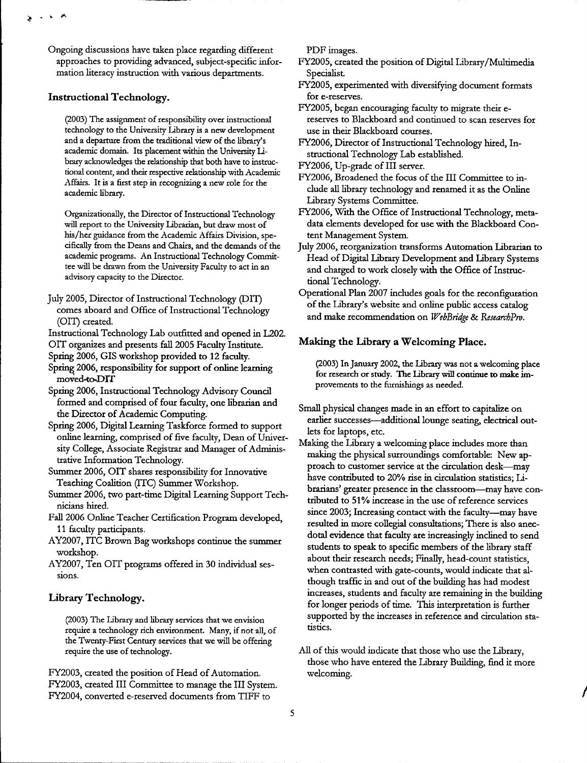Ongoing discussions have taken place regarding different approaches to providing advanced, subject-specific information literacy instruction with various departments.

#### **Instructional Technology.**

k **J»,**

(2003) The assignment of responsibility over instructional technology to the University Library is a new development and a departure from the traditional view of the library's academic domain. Its placement within the University Library acknowledges the relationship that both have to instmctional content, and their respective relationship with Academic Affairs. It is a first step in recognizing a new role for the academic library.

Organizationally, the Director of Instructional Technology will report to the University Librarian, but draw most of his/her guidance from the Academic Affairs Division, specifically from the Deans and Chairs, and the demands of the academic programs. An Instmctional Technology Committee will be drawn from the University Faculty to act in an advisory capacity to the Director.

- July 2005, Director of Instructional Technology (DIT) comes aboard and Office of Instructional Technology (OIT) created.
- Instmctional Technology Lab outfitted and opened in L202.
- OIT organizes and presents fall 2005 Faculty Instimte. Spring 2006, GIS workshop provided to 12 faculty.
- Spring 2006, responsibility for support of online learning moved-toDIT
- Spring 2006, Instmctional Technology Advisory Council formed and comprised of four faculty, one librarian and the Director of Academic Computing.
- Spring 2006, Digital Learning Taskforce formed to support online learning, comprised of five faculty, Dean of University College, Associate Registrar and Manager of Administrative Information Technology.
- Summer 2006, OIT shares responsibility for Innovative Teaching Coalition (ITC) Summer Workshop.
- Summer 2006, two part-time Digital Learning Support Technicians hired.
- Fall 2006 Online Teacher Certification Program developed, 11 faculty participants.
- AY2007, ITC Brown Bag workshops continue the summer workshop.
- AY2007, Ten OIT programs offered in 30 individual sessions.

#### **Library Technology.**

(2003) The Library and library services that we envision require a technology rich environment. Many, if not all, of the Twenty-First Century services that we will be offering require the use of technology.

FY2003, created the position of Head of Automation. welcoming. PY2003, created III Committee to manage the III System. FY2004, converted e-reserved documents from TIFF to

PDF images.

- FY2005, created the position of Digital Library/Multimedia Specialist
- FY2005, experimented with diversifying document formats for e-reserves.
- FY2005, began encouraging faculty to migrate their ereserves to Blackboard and continued to scan reserves for use in their Blackboard courses.
- FY2006, Director of Instructional Technology hired, Instmctional Technology Lab established.
- FY2006, Up-grade of III server.
- FY2006, Broadened the focus of the III Committee to include all library technology and renamed it as the Online Library Systems Committee.
- FY2006, With the Office of Instructional Technology, metadata elements developed for use with the Blackboard Content Management System.
- July 2006, reorganization transforms Automation Librarian to Head of Digital Library Development and Library Systems and charged to work closely with the Office of Instmctional Technology.
- Operational Plan 2007 includes goals for the reconfiguration of the Library's website and online public access catalog and make recommendation on *WebBridge* & *ResearvhPrv.*

#### **Making the Library a Welcoming Place.**

(2003) InJanuary 2002, the Library was not a welcoming place for research or study. The Library will continue to make improvements to the furnishings as needed.

- Small physical changes made in an effort to capitalize on earlier successes—additional lounge seating, electrical outlets for laptops, etc.
- Making the Library a welcoming place includes more than making the physical surroundings comfortable: New approach to customer service at the circulation desk—^may have contributed to 20% rise in circulation statistics; Librarians' greater presence in the classroom—^may have contributed to 51% increase in the use of reference services since 2003; Increasing contact with the faculty—may have resulted in more collegial consultations; There is also anecdotal evidence that faculty are increasingly inclined to send students to speak to specific members of the library staff about their research needs; Finally, head-count statistics, when contrasted with gate-counts, would indicate that although traffic in and out of the building has had modest increases, students and faculty are remaining in the building for longer periods of time. This interpretation is further supported by the increases in reference and circulation statistics.
- All of this would indicate that those who use the Library, those who have entered the Library Building, find it more

**/**